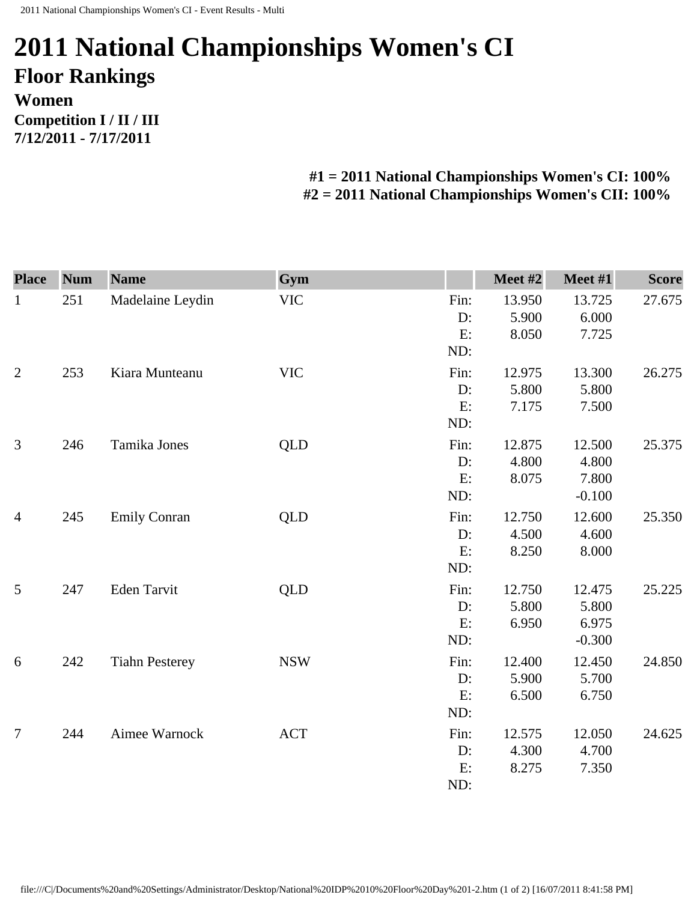## **2011 National Championships Women's CI Floor Rankings Women Competition I / II / III 7/12/2011 - 7/17/2011**

## **#1 = 2011 National Championships Women's CI: 100% #2 = 2011 National Championships Women's CII: 100%**

| <b>Place</b>   | <b>Num</b> | <b>Name</b>           | Gym        |            | Meet #2         | Meet #1         | <b>Score</b> |
|----------------|------------|-----------------------|------------|------------|-----------------|-----------------|--------------|
| $\mathbf{1}$   | 251        | Madelaine Leydin      | <b>VIC</b> | Fin:<br>D: | 13.950<br>5.900 | 13.725<br>6.000 | 27.675       |
|                |            |                       |            | E:<br>ND:  | 8.050           | 7.725           |              |
| $\overline{2}$ | 253        | Kiara Munteanu        | <b>VIC</b> | Fin:       | 12.975          | 13.300          | 26.275       |
|                |            |                       |            | D:         | 5.800           | 5.800           |              |
|                |            |                       |            | E:<br>ND:  | 7.175           | 7.500           |              |
| 3              | 246        | Tamika Jones          | QLD        | Fin:       | 12.875          | 12.500          | 25.375       |
|                |            |                       |            | D:         | 4.800           | 4.800           |              |
|                |            |                       |            | E:         | 8.075           | 7.800           |              |
|                |            |                       |            | ND:        |                 | $-0.100$        |              |
| $\overline{4}$ | 245        | <b>Emily Conran</b>   | <b>QLD</b> | Fin:       | 12.750          | 12.600          | 25.350       |
|                |            |                       |            | D:         | 4.500           | 4.600           |              |
|                |            |                       |            | E:         | 8.250           | 8.000           |              |
|                |            |                       |            | ND:        |                 |                 |              |
| 5              | 247        | Eden Tarvit           | <b>QLD</b> | Fin:       | 12.750          | 12.475          | 25.225       |
|                |            |                       |            | D:         | 5.800           | 5.800           |              |
|                |            |                       |            | E:         | 6.950           | 6.975           |              |
|                |            |                       |            | ND:        |                 | $-0.300$        |              |
| 6              | 242        | <b>Tiahn Pesterey</b> | <b>NSW</b> | Fin:       | 12.400          | 12.450          | 24.850       |
|                |            |                       |            | D:         | 5.900           | 5.700           |              |
|                |            |                       |            | E:         | 6.500           | 6.750           |              |
|                |            |                       |            | ND:        |                 |                 |              |
| $\overline{7}$ | 244        | Aimee Warnock         | <b>ACT</b> | Fin:       | 12.575          | 12.050          | 24.625       |
|                |            |                       |            | D:         | 4.300           | 4.700           |              |
|                |            |                       |            | E:         | 8.275           | 7.350           |              |
|                |            |                       |            | ND:        |                 |                 |              |